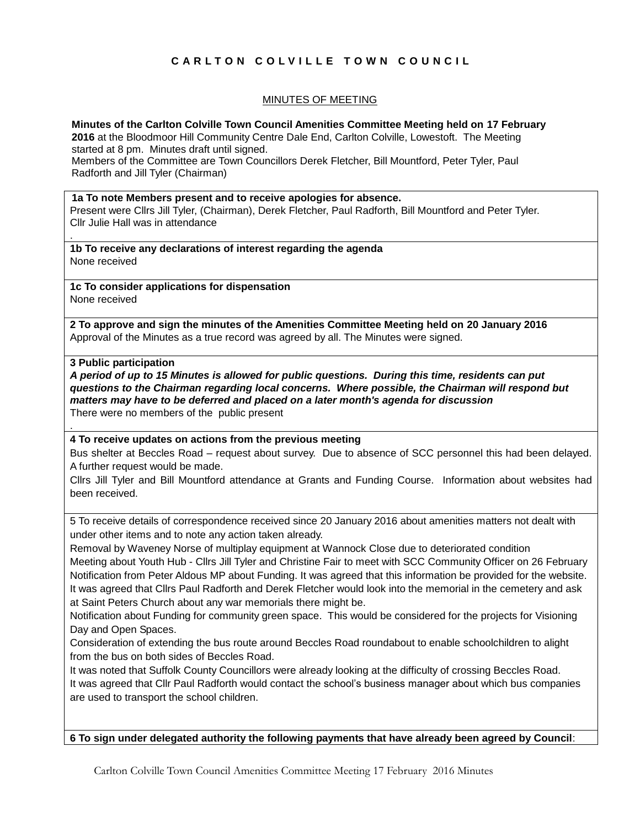# **C A R L T O N C O L V I L L E T O W N C O U N C I L**

## MINUTES OF MEETING

#### **Minutes of the Carlton Colville Town Council Amenities Committee Meeting held on 17 February**

**2016** at the Bloodmoor Hill Community Centre Dale End, Carlton Colville, Lowestoft. The Meeting started at 8 pm. Minutes draft until signed.

Members of the Committee are Town Councillors Derek Fletcher, Bill Mountford, Peter Tyler, Paul Radforth and Jill Tyler (Chairman)

#### **1a To note Members present and to receive apologies for absence.**

Present were Cllrs Jill Tyler, (Chairman), Derek Fletcher, Paul Radforth, Bill Mountford and Peter Tyler. Cllr Julie Hall was in attendance

**1b To receive any declarations of interest regarding the agenda** None received

**1c To consider applications for dispensation** None received

**2 To approve and sign the minutes of the Amenities Committee Meeting held on 20 January 2016** Approval of the Minutes as a true record was agreed by all. The Minutes were signed.

#### **3 Public participation**

.

.

*A period of up to 15 Minutes is allowed for public questions. During this time, residents can put questions to the Chairman regarding local concerns. Where possible, the Chairman will respond but matters may have to be deferred and placed on a later month's agenda for discussion* There were no members of the public present

#### **4 To receive updates on actions from the previous meeting**

Bus shelter at Beccles Road – request about survey. Due to absence of SCC personnel this had been delayed. A further request would be made.

Cllrs Jill Tyler and Bill Mountford attendance at Grants and Funding Course. Information about websites had been received.

5 To receive details of correspondence received since 20 January 2016 about amenities matters not dealt with under other items and to note any action taken already.

Removal by Waveney Norse of multiplay equipment at Wannock Close due to deteriorated condition Meeting about Youth Hub - Cllrs Jill Tyler and Christine Fair to meet with SCC Community Officer on 26 February Notification from Peter Aldous MP about Funding. It was agreed that this information be provided for the website. It was agreed that Cllrs Paul Radforth and Derek Fletcher would look into the memorial in the cemetery and ask at Saint Peters Church about any war memorials there might be.

Notification about Funding for community green space. This would be considered for the projects for Visioning Day and Open Spaces.

Consideration of extending the bus route around Beccles Road roundabout to enable schoolchildren to alight from the bus on both sides of Beccles Road.

It was noted that Suffolk County Councillors were already looking at the difficulty of crossing Beccles Road. It was agreed that Cllr Paul Radforth would contact the school's business manager about which bus companies are used to transport the school children.

**6 To sign under delegated authority the following payments that have already been agreed by Council**:

Carlton Colville Town Council Amenities Committee Meeting 17 February 2016 Minutes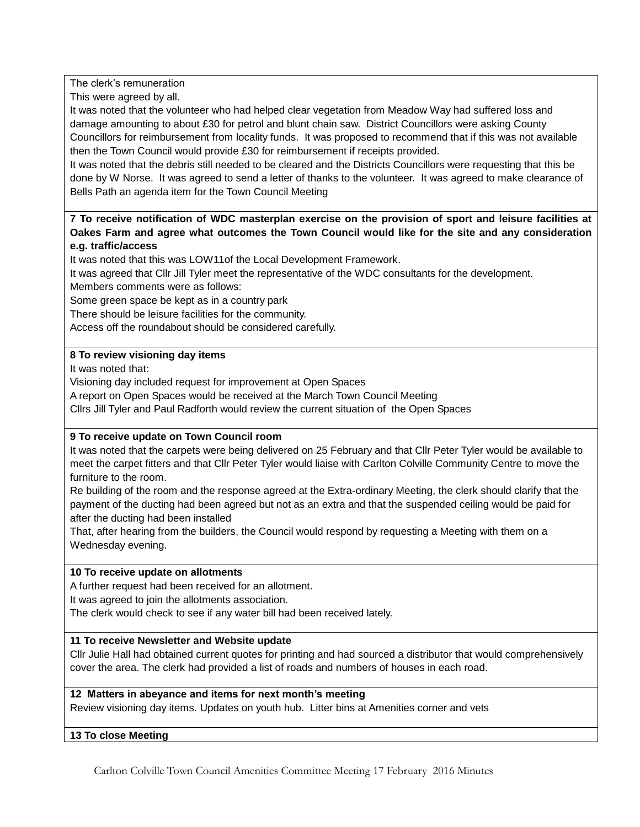The clerk's remuneration

This were agreed by all.

It was noted that the volunteer who had helped clear vegetation from Meadow Way had suffered loss and damage amounting to about £30 for petrol and blunt chain saw. District Councillors were asking County Councillors for reimbursement from locality funds. It was proposed to recommend that if this was not available then the Town Council would provide £30 for reimbursement if receipts provided.

It was noted that the debris still needed to be cleared and the Districts Councillors were requesting that this be done by W Norse. It was agreed to send a letter of thanks to the volunteer. It was agreed to make clearance of Bells Path an agenda item for the Town Council Meeting

## **7 To receive notification of WDC masterplan exercise on the provision of sport and leisure facilities at Oakes Farm and agree what outcomes the Town Council would like for the site and any consideration e.g. traffic/access**

It was noted that this was LOW11of the Local Development Framework.

It was agreed that Cllr Jill Tyler meet the representative of the WDC consultants for the development. Members comments were as follows:

Some green space be kept as in a country park

There should be leisure facilities for the community.

Access off the roundabout should be considered carefully.

# **8 To review visioning day items**

It was noted that:

Visioning day included request for improvement at Open Spaces

A report on Open Spaces would be received at the March Town Council Meeting

Cllrs Jill Tyler and Paul Radforth would review the current situation of the Open Spaces

# **9 To receive update on Town Council room**

It was noted that the carpets were being delivered on 25 February and that Cllr Peter Tyler would be available to meet the carpet fitters and that Cllr Peter Tyler would liaise with Carlton Colville Community Centre to move the furniture to the room.

Re building of the room and the response agreed at the Extra-ordinary Meeting, the clerk should clarify that the payment of the ducting had been agreed but not as an extra and that the suspended ceiling would be paid for after the ducting had been installed

That, after hearing from the builders, the Council would respond by requesting a Meeting with them on a Wednesday evening.

## **10 To receive update on allotments**

A further request had been received for an allotment.

It was agreed to join the allotments association.

The clerk would check to see if any water bill had been received lately.

## **11 To receive Newsletter and Website update**

Cllr Julie Hall had obtained current quotes for printing and had sourced a distributor that would comprehensively cover the area. The clerk had provided a list of roads and numbers of houses in each road.

## **12 Matters in abeyance and items for next month's meeting**

Review visioning day items. Updates on youth hub. Litter bins at Amenities corner and vets

## **13 To close Meeting**

Carlton Colville Town Council Amenities Committee Meeting 17 February 2016 Minutes